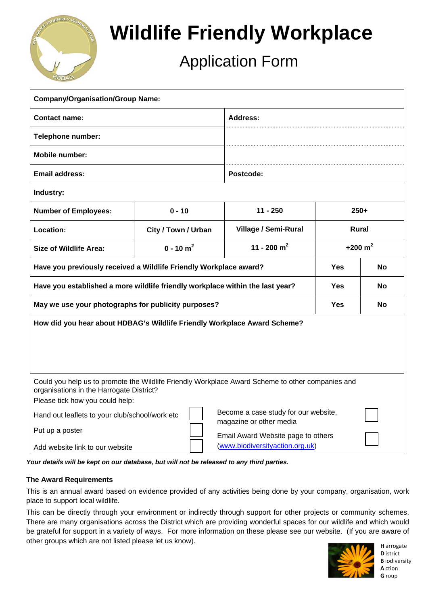

# **Wildlife Friendly Workplace**

# Application Form

| <b>Company/Organisation/Group Name:</b>                                                                                                      |                                                                 |                                    |            |           |  |  |  |  |  |
|----------------------------------------------------------------------------------------------------------------------------------------------|-----------------------------------------------------------------|------------------------------------|------------|-----------|--|--|--|--|--|
| <b>Contact name:</b>                                                                                                                         |                                                                 | Address:                           |            |           |  |  |  |  |  |
| Telephone number:                                                                                                                            |                                                                 |                                    |            |           |  |  |  |  |  |
| <b>Mobile number:</b>                                                                                                                        |                                                                 |                                    |            |           |  |  |  |  |  |
| <b>Email address:</b>                                                                                                                        |                                                                 | Postcode:                          |            |           |  |  |  |  |  |
| Industry:                                                                                                                                    |                                                                 |                                    |            |           |  |  |  |  |  |
| <b>Number of Employees:</b>                                                                                                                  | $0 - 10$                                                        | $11 - 250$                         | $250+$     |           |  |  |  |  |  |
| Location:                                                                                                                                    | City / Town / Urban                                             | Village / Semi-Rural               | Rural      |           |  |  |  |  |  |
| <b>Size of Wildlife Area:</b>                                                                                                                | $0 - 10 m2$                                                     | 11 - 200 $m^2$                     | +200 $m^2$ |           |  |  |  |  |  |
| Have you previously received a Wildlife Friendly Workplace award?                                                                            |                                                                 |                                    |            | No        |  |  |  |  |  |
| Have you established a more wildlife friendly workplace within the last year?                                                                |                                                                 |                                    | Yes        | <b>No</b> |  |  |  |  |  |
| May we use your photographs for publicity purposes?                                                                                          |                                                                 |                                    |            | No        |  |  |  |  |  |
| How did you hear about HDBAG's Wildlife Friendly Workplace Award Scheme?                                                                     |                                                                 |                                    |            |           |  |  |  |  |  |
|                                                                                                                                              |                                                                 |                                    |            |           |  |  |  |  |  |
|                                                                                                                                              |                                                                 |                                    |            |           |  |  |  |  |  |
| Could you help us to promote the Wildlife Friendly Workplace Award Scheme to other companies and<br>organisations in the Harrogate District? |                                                                 |                                    |            |           |  |  |  |  |  |
| Please tick how you could help:                                                                                                              |                                                                 |                                    |            |           |  |  |  |  |  |
| Hand out leaflets to your club/school/work etc                                                                                               | Become a case study for our website,<br>magazine or other media |                                    |            |           |  |  |  |  |  |
| Put up a poster                                                                                                                              |                                                                 | Email Award Website page to others |            |           |  |  |  |  |  |
| Add website link to our website                                                                                                              | (www.biodiversityaction.org.uk)                                 |                                    |            |           |  |  |  |  |  |

*Your details will be kept on our database, but will not be released to any third parties.*

# **The Award Requirements**

This is an annual award based on evidence provided of any activities being done by your company, organisation, work place to support local wildlife.

This can be directly through your environment or indirectly through support for other projects or community schemes. There are many organisations across the District which are providing wonderful spaces for our wildlife and which would be grateful for support in a variety of ways. For more information on these please see our website. (If you are aware of other groups which are not listed please let us know).



H arrogate **D** istrict **B** iodiversity A ction G roup